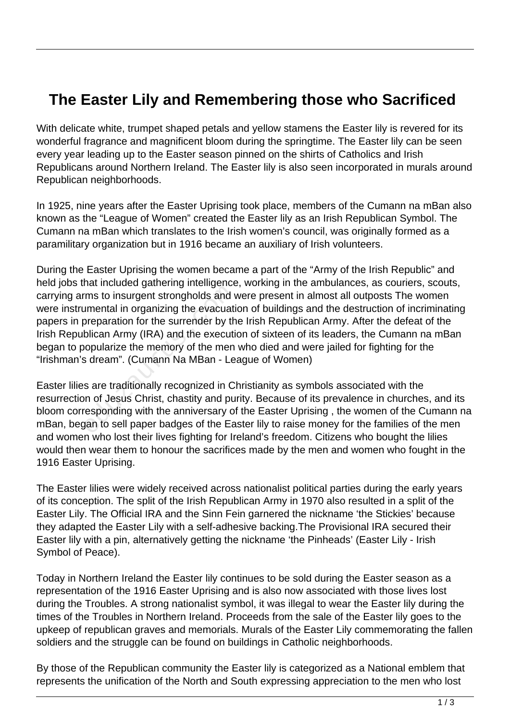## **The Easter Lily and Remembering those who Sacrificed**

With delicate white, trumpet shaped petals and yellow stamens the Easter lily is revered for its wonderful fragrance and magnificent bloom during the springtime. The Easter lily can be seen every year leading up to the Easter season pinned on the shirts of Catholics and Irish Republicans around Northern Ireland. The Easter lily is also seen incorporated in murals around Republican neighborhoods.

In 1925, nine years after the Easter Uprising took place, members of the Cumann na mBan also known as the "League of Women" created the Easter lily as an Irish Republican Symbol. The Cumann na mBan which translates to the Irish women's council, was originally formed as a paramilitary organization but in 1916 became an auxiliary of Irish volunteers.

During the Easter Uprising the women became a part of the "Army of the Irish Republic" and held jobs that included gathering intelligence, working in the ambulances, as couriers, scouts, carrying arms to insurgent strongholds and were present in almost all outposts The women were instrumental in organizing the evacuation of buildings and the destruction of incriminating papers in preparation for the surrender by the Irish Republican Army. After the defeat of the Irish Republican Army (IRA) and the execution of sixteen of its leaders, the Cumann na mBan began to popularize the memory of the men who died and were jailed for fighting for the "Irishman's dream". (Cumann Na MBan - League of Women) The interacting interacting<br>
Ims to insurgent strongholds and v<br>
interaction for the surrender by the<br>
blican Army (IRA) and the execution<br>
opularize the memory of the men<br>
s dream". (Cumann Na MBan - Le<br>
s are traditional

Easter lilies are traditionally recognized in Christianity as symbols associated with the resurrection of Jesus Christ, chastity and purity. Because of its prevalence in churches, and its bloom corresponding with the anniversary of the Easter Uprising , the women of the Cumann na mBan, began to sell paper badges of the Easter lily to raise money for the families of the men and women who lost their lives fighting for Ireland's freedom. Citizens who bought the lilies would then wear them to honour the sacrifices made by the men and women who fought in the 1916 Easter Uprising.

The Easter lilies were widely received across nationalist political parties during the early years of its conception. The split of the Irish Republican Army in 1970 also resulted in a split of the Easter Lily. The Official IRA and the Sinn Fein garnered the nickname 'the Stickies' because they adapted the Easter Lily with a self-adhesive backing.The Provisional IRA secured their Easter lily with a pin, alternatively getting the nickname 'the Pinheads' (Easter Lily - Irish Symbol of Peace).

Today in Northern Ireland the Easter lily continues to be sold during the Easter season as a representation of the 1916 Easter Uprising and is also now associated with those lives lost during the Troubles. A strong nationalist symbol, it was illegal to wear the Easter lily during the times of the Troubles in Northern Ireland. Proceeds from the sale of the Easter lily goes to the upkeep of republican graves and memorials. Murals of the Easter Lily commemorating the fallen soldiers and the struggle can be found on buildings in Catholic neighborhoods.

By those of the Republican community the Easter lily is categorized as a National emblem that represents the unification of the North and South expressing appreciation to the men who lost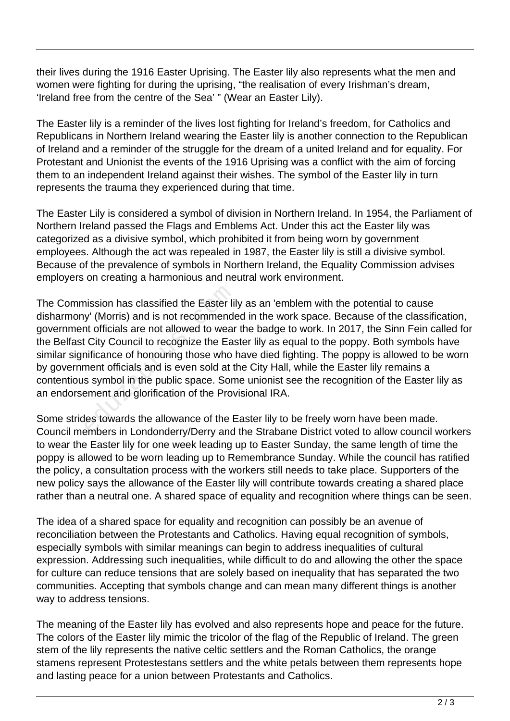their lives during the 1916 Easter Uprising. The Easter lily also represents what the men and women were fighting for during the uprising, "the realisation of every Irishman's dream, 'Ireland free from the centre of the Sea' " (Wear an Easter Lily).

The Easter lily is a reminder of the lives lost fighting for Ireland's freedom, for Catholics and Republicans in Northern Ireland wearing the Easter lily is another connection to the Republican of Ireland and a reminder of the struggle for the dream of a united Ireland and for equality. For Protestant and Unionist the events of the 1916 Uprising was a conflict with the aim of forcing them to an independent Ireland against their wishes. The symbol of the Easter lily in turn represents the trauma they experienced during that time.

The Easter Lily is considered a symbol of division in Northern Ireland. In 1954, the Parliament of Northern Ireland passed the Flags and Emblems Act. Under this act the Easter lily was categorized as a divisive symbol, which prohibited it from being worn by government employees. Although the act was repealed in 1987, the Easter lily is still a divisive symbol. Because of the prevalence of symbols in Northern Ireland, the Equality Commission advises employers on creating a harmonious and neutral work environment.

The Commission has classified the Easter lily as an 'emblem with the potential to cause disharmony' (Morris) and is not recommended in the work space. Because of the classification, government officials are not allowed to wear the badge to work. In 2017, the Sinn Fein called for the Belfast City Council to recognize the Easter lily as equal to the poppy. Both symbols have similar significance of honouring those who have died fighting. The poppy is allowed to be worn by government officials and is even sold at the City Hall, while the Easter lily remains a contentious symbol in the public space. Some unionist see the recognition of the Easter lily as an endorsement and glorification of the Provisional IRA. nission has classified the Easter lil<br>y' (Morris) and is not recommendent officials are not allowed to wear<br>city Council to recognize the East<br>nificance of honouring those who I<br>ment officials and is even sold at the<br>symbo

Some strides towards the allowance of the Easter lily to be freely worn have been made. Council members in Londonderry/Derry and the Strabane District voted to allow council workers to wear the Easter lily for one week leading up to Easter Sunday, the same length of time the poppy is allowed to be worn leading up to Remembrance Sunday. While the council has ratified the policy, a consultation process with the workers still needs to take place. Supporters of the new policy says the allowance of the Easter lily will contribute towards creating a shared place rather than a neutral one. A shared space of equality and recognition where things can be seen.

The idea of a shared space for equality and recognition can possibly be an avenue of reconciliation between the Protestants and Catholics. Having equal recognition of symbols, especially symbols with similar meanings can begin to address inequalities of cultural expression. Addressing such inequalities, while difficult to do and allowing the other the space for culture can reduce tensions that are solely based on inequality that has separated the two communities. Accepting that symbols change and can mean many different things is another way to address tensions.

The meaning of the Easter lily has evolved and also represents hope and peace for the future. The colors of the Easter lily mimic the tricolor of the flag of the Republic of Ireland. The green stem of the lily represents the native celtic settlers and the Roman Catholics, the orange stamens represent Protestestans settlers and the white petals between them represents hope and lasting peace for a union between Protestants and Catholics.